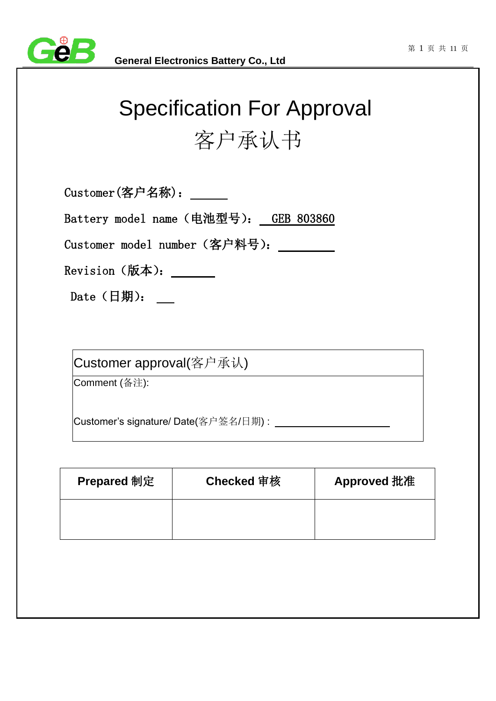

# Specification For Approval 客户承认书

Customer(客户名称):

Battery model name (电池型号): GEB 803860

Customer model number (客户料号):

Revision (版本): \_\_\_\_\_

Date (日期):

Customer approval(客户承认)

Comment (备注):

Customer's signature/ Date(客户签名/日期) :

| <b>Prepared 制定</b> | Checked 审核 | Approved 批准 |
|--------------------|------------|-------------|
|                    |            |             |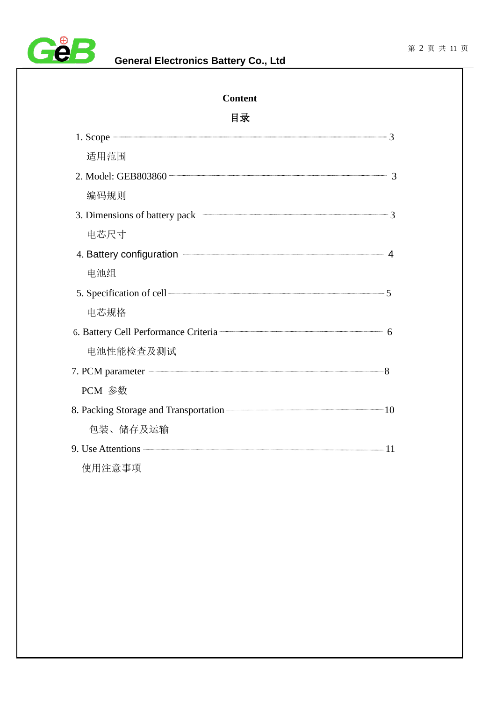

# **Content**

|--|

| $1. \text{Scope}$ 3                                                                                          |   |
|--------------------------------------------------------------------------------------------------------------|---|
| 适用范围                                                                                                         |   |
| 2. Model: GEB803860 33                                                                                       |   |
| 编码规则                                                                                                         |   |
| 3. Dimensions of battery pack 3                                                                              |   |
| 电芯尺寸                                                                                                         |   |
| 4. Battery configuration <b>CONSERVING ACCESS</b> 4                                                          |   |
| 电池组                                                                                                          |   |
|                                                                                                              |   |
| 电芯规格                                                                                                         |   |
| 6. Battery Cell Performance Criteria <b>Calculation According to the Contract Oriental Contract Criteria</b> | 6 |
| 电池性能检查及测试                                                                                                    |   |
| 7. PCM parameter 3                                                                                           |   |
| PCM 参数                                                                                                       |   |
| 8. Packing Storage and Transportation ––––––––––––––––––––––10                                               |   |
| 包装、储存及运输                                                                                                     |   |
| 9. Use Attentions 211                                                                                        |   |
| 使用注意事项                                                                                                       |   |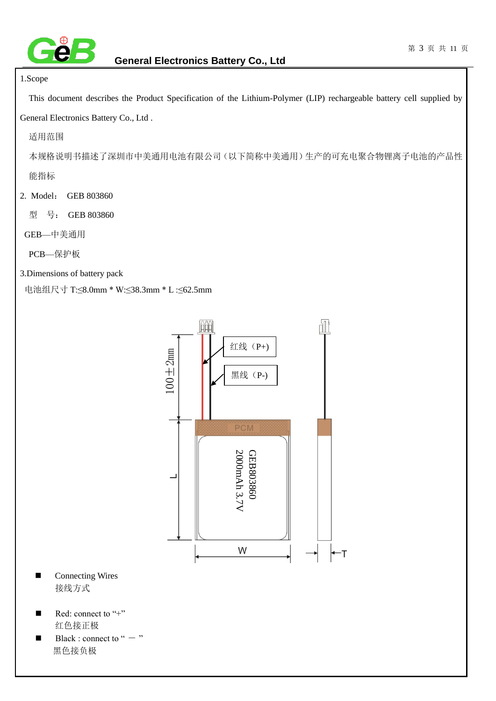

#### 1.Scope

 This document describes the Product Specification of the Lithium-Polymer (LIP) rechargeable battery cell supplied by General Electronics Battery Co., Ltd .

适用范围

本规格说明书描述了深圳市中美通用电池有限公司(以下简称中美通用)生产的可充电聚合物锂离子电池的产品性

能指标

- 2. Model: GEB 803860
	- 型 号: GEB 803860

GEB—中美通用

PCB—保护板

3.Dimensions of battery pack

电池组尺寸 T:≤8.0mm \* W:≤38.3mm \* L :≤62.5mm

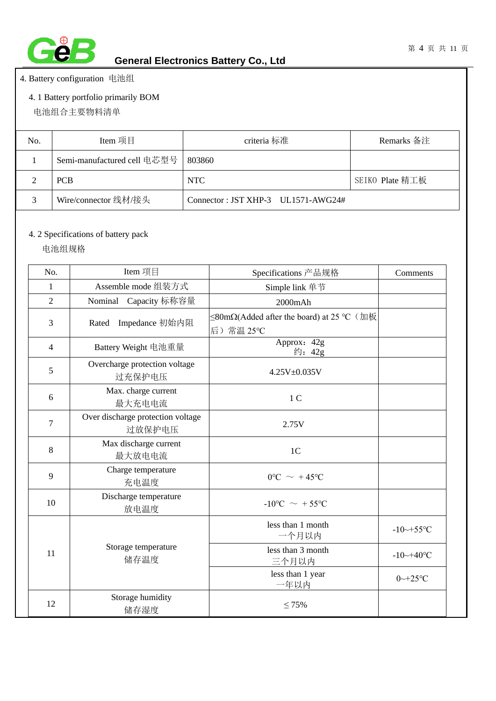

4. Battery configuration 电池组

### 4. 1 Battery portfolio primarily BOM

电池组合主要物料清单

| No.           | Item 项目                     | criteria 标准                        | Remarks 备注      |
|---------------|-----------------------------|------------------------------------|-----------------|
|               | Semi-manufactured cell 电芯型号 | 803860                             |                 |
|               | <b>PCB</b>                  | NTC                                | SEIKO Plate 精工板 |
| $\mathcal{R}$ | Wire/connector 线材/接头        | Connector: JST XHP-3 UL1571-AWG24# |                 |

#### 4. 2 Specifications of battery pack

电池组规格

| No.            | Item 项目                                     | Specifications 产品规格                                       | Comments               |
|----------------|---------------------------------------------|-----------------------------------------------------------|------------------------|
| 1              | Assemble mode 组装方式                          | Simple link 单节                                            |                        |
| $\overline{2}$ | Nominal Capacity 标称容量                       | 2000mAh                                                   |                        |
| 3              | Rated Impedance 初始内阻                        | $≤$ 80mΩ(Added after the board) at 25 °C (加板<br>后) 常温 25℃ |                        |
| $\overline{4}$ | Battery Weight 电池重量                         | Approx: $42g$<br>约: 42g                                   |                        |
| 5              | Overcharge protection voltage<br>过充保护电压     | $4.25V + 0.035V$                                          |                        |
| 6              | Max. charge current<br>最大充电电流               | 1 <sup>C</sup>                                            |                        |
| 7              | Over discharge protection voltage<br>过放保护电压 | 2.75V                                                     |                        |
| 8              | Max discharge current<br>最大放电电流             | 1 <sub>C</sub>                                            |                        |
| 9              | Charge temperature<br>充电温度                  | $0^{\circ}$ C ~ +45°C                                     |                        |
| 10             | Discharge temperature<br>放电温度               | -10°C $\sim$ +55°C                                        |                        |
|                |                                             | less than 1 month<br>一个月以内                                | $-10$ ~+55°C           |
| 11             | Storage temperature<br>储存温度                 | less than 3 month<br>三个月以内                                | $-10$ ~+40°C           |
|                |                                             | less than 1 year<br>一年以内                                  | $0 \rightarrow +25$ °C |
| 12             | Storage humidity<br>储存湿度                    | $\leq 75\%$                                               |                        |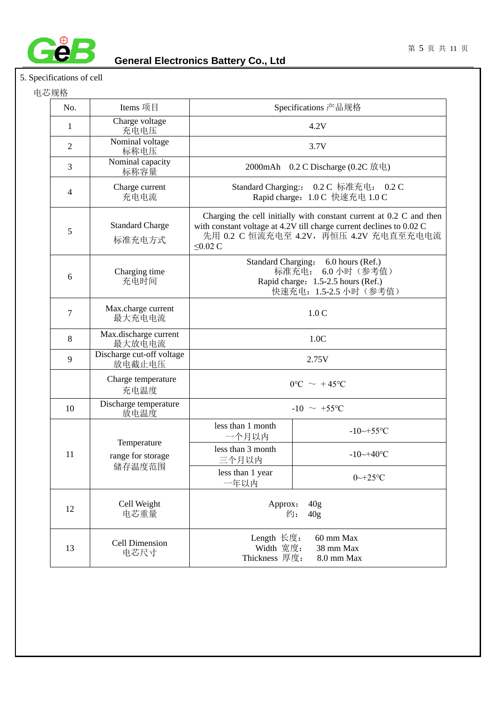

# 5. Specifications of cell

电芯规格

| No.            | Items 项目                            | Specifications 产品规格                                                                                                                                                                                                                                                                                                           |                                                                                                                                                                                       |
|----------------|-------------------------------------|-------------------------------------------------------------------------------------------------------------------------------------------------------------------------------------------------------------------------------------------------------------------------------------------------------------------------------|---------------------------------------------------------------------------------------------------------------------------------------------------------------------------------------|
| 1              | Charge voltage<br>充电电压              | 4.2V                                                                                                                                                                                                                                                                                                                          |                                                                                                                                                                                       |
| $\mathfrak{2}$ | Nominal voltage<br>标称电压             | 3.7V                                                                                                                                                                                                                                                                                                                          |                                                                                                                                                                                       |
| 3              | Nominal capacity<br>标称容量            |                                                                                                                                                                                                                                                                                                                               | 2000mAh 0.2 C Discharge (0.2C 放电)                                                                                                                                                     |
| 4              | Charge current<br>充电电流              |                                                                                                                                                                                                                                                                                                                               | Standard Charging:: 0.2 C 标准充电: 0.2 C<br>Rapid charge: 1.0 C 快速充电 1.0 C                                                                                                               |
| 5              | <b>Standard Charge</b><br>标准充电方式    | $\leq$ 0.02 C                                                                                                                                                                                                                                                                                                                 | Charging the cell initially with constant current at 0.2 C and then<br>with constant voltage at 4.2V till charge current declines to 0.02 C<br>先用 0.2 C 恒流充电至 4.2V, 再恒压 4.2V 充电直至充电电流 |
| 6              | Charging time<br>充电时间               | Standard Charging: 6.0 hours (Ref.)<br>标准充电: 6.0 小时 (参考值)<br>Rapid charge: 1.5-2.5 hours (Ref.)<br>快速充电: 1.5-2.5 小时 (参考值)<br>1.0 <sub>C</sub>                                                                                                                                                                                 |                                                                                                                                                                                       |
| 7              | Max.charge current<br>最大充电电流        |                                                                                                                                                                                                                                                                                                                               |                                                                                                                                                                                       |
| 8              | Max.discharge current<br>最大放电电流     |                                                                                                                                                                                                                                                                                                                               | 1.0C                                                                                                                                                                                  |
| 9              | Discharge cut-off voltage<br>放电截止电压 | 2.75V                                                                                                                                                                                                                                                                                                                         |                                                                                                                                                                                       |
|                | Charge temperature<br>充电温度          |                                                                                                                                                                                                                                                                                                                               | $0^{\circ}C \sim +45^{\circ}C$                                                                                                                                                        |
| 10             | Discharge temperature<br>放电温度       |                                                                                                                                                                                                                                                                                                                               | $-10 \sim +55^{\circ}C$                                                                                                                                                               |
|                |                                     | less than 1 month<br>-个月以内                                                                                                                                                                                                                                                                                                    | $-10$ ~+55°C                                                                                                                                                                          |
| 11             | range for storage                   | Temperature<br>less than 3 month<br>$-10 \rightarrow +40$ °C<br>三个月以内<br>储存温度范围<br>less than 1 year<br>$0 - 25$ °C<br>一年以内<br>Cell Weight<br>Approx:<br>40 <sub>g</sub><br>电芯重量<br>约:<br>40 <sub>g</sub><br>Length 长度:<br>60 mm Max<br><b>Cell Dimension</b><br>Width 宽度:<br>38 mm Max<br>电芯尺寸<br>Thickness 厚度:<br>8.0 mm Max |                                                                                                                                                                                       |
|                |                                     |                                                                                                                                                                                                                                                                                                                               |                                                                                                                                                                                       |
| 12             |                                     |                                                                                                                                                                                                                                                                                                                               |                                                                                                                                                                                       |
| 13             |                                     |                                                                                                                                                                                                                                                                                                                               |                                                                                                                                                                                       |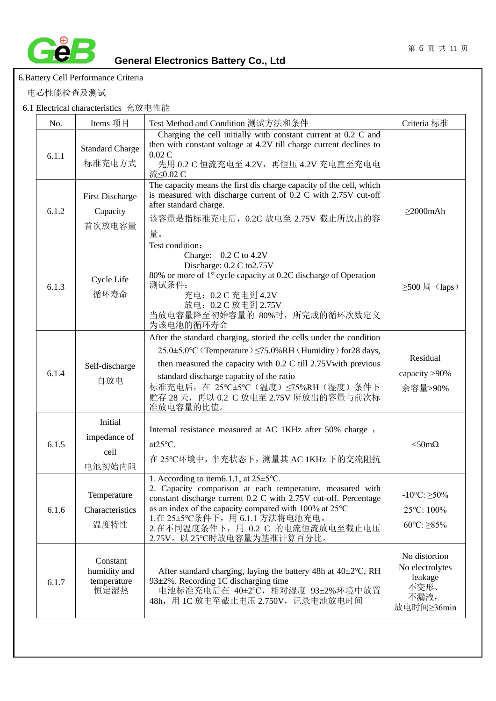

#### 6.Battery Cell Performance Criteria

电芯性能检查及测试

6.1 Electrical characteristics 充放电性能

| No.   | Items 项目                                        | Test Method and Condition 测试方法和条件                                                                                                                                                                                                                                                                                                                      | Criteria 标准                                                               |
|-------|-------------------------------------------------|--------------------------------------------------------------------------------------------------------------------------------------------------------------------------------------------------------------------------------------------------------------------------------------------------------------------------------------------------------|---------------------------------------------------------------------------|
| 6.1.1 | <b>Standard Charge</b><br>标准充电方式                | Charging the cell initially with constant current at 0.2 C and<br>then with constant voltage at 4.2V till charge current declines to<br>0.02C<br>先用 0.2 C 恒流充电至 4.2V, 再恒压 4.2V 充电直至充电电<br>流≤0.02 C                                                                                                                                                     |                                                                           |
| 6.1.2 | <b>First Discharge</b><br>Capacity<br>首次放电容量    | The capacity means the first dis charge capacity of the cell, which<br>is measured with discharge current of 0.2 C with 2.75V cut-off<br>after standard charge.<br>该容量是指标准充电后, 0.2C 放电至 2.75V 截止所放出的容<br>量。                                                                                                                                            | $\geq$ 2000mAh                                                            |
| 6.1.3 | Cycle Life<br>循环寿命                              | Test condition:<br>Charge: $0.2 C$ to 4.2V<br>Discharge: 0.2 C to 2.75V<br>80% or more of 1 <sup>st</sup> cycle capacity at 0.2C discharge of Operation<br>测试条件:<br>充电: 0.2 C 充电到 4.2V<br>放电: 0.2 C 放电到 2.75V<br>当放电容量降至初始容量的 80%时, 所完成的循环次数定义<br>为该电池的循环寿命                                                                                            | $\geq$ 500 周 (laps)                                                       |
| 6.1.4 | Self-discharge<br>自放电                           | After the standard charging, storied the cells under the condition<br>25.0±5.0°C (Temperature) ≤75.0%RH (Humidity) for 28 days,<br>then measured the capacity with $0.2 \text{ C}$ till 2.75V with previous<br>standard discharge capacity of the ratio<br>标准充电后, 在 25℃±5℃ (温度) ≤75%RH (湿度) 条件下<br>贮存 28 天, 再以 0.2 C 放电至 2.75V 所放出的容量与前次标<br>准放电容量的比值。 | Residual<br>capacity >90%<br>余容量>90%                                      |
| 6.1.5 | Initial<br>impedance of<br>cell<br>电池初始内阻       | Internal resistance measured at AC 1KHz after 50% charge,<br>$at25^{\circ}$ C.<br>在 25℃环境中, 半充状态下, 测量其 AC 1KHz 下的交流阻抗                                                                                                                                                                                                                                  | $< 50$ m $\Omega$                                                         |
| 6.1.6 | Temperature<br>Characteristics<br>温度特性          | 1. According to item 6.1.1, at $25 \pm 5^{\circ}$ C.<br>2. Capacity comparison at each temperature, measured with<br>constant discharge current 0.2 C with 2.75V cut-off. Percentage<br>as an index of the capacity compared with 100% at 25°C<br>1.在 25±5℃条件下, 用 6.1.1 方法将电池充电。<br>2.在不同温度条件下, 用 0.2 C 的电流恒流放电至截止电压<br>2.75V。以 25℃时放电容量为基准计算百分比。      | $-10^{\circ}$ C: $\geq 50\%$<br>25°C: 100%<br>60°C: $\geq 85\%$           |
| 6.1.7 | Constant<br>humidity and<br>temperature<br>恒定湿热 | After standard charging, laying the battery 48h at $40\pm2\degree C$ , RH<br>$93\pm2\%$ . Recording 1C discharging time<br>电池标准充电后在 40±2℃,相对湿度 93±2%环境中放置<br>48h, 用 1C 放电至截止电压 2.750V, 记录电池放电时间                                                                                                                                                        | No distortion<br>No electrolytes<br>leakage<br>不变形、<br>不漏液,<br>放电时间≥36min |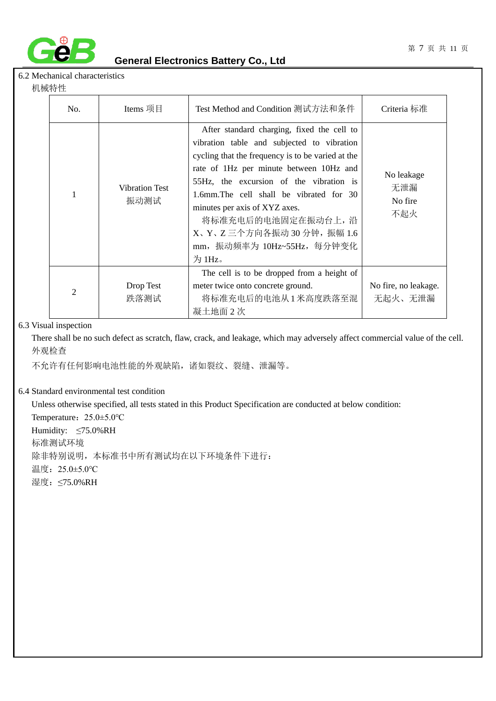

#### 6.2 Mechanical characteristics

机械特性

| No.            | Items 项目                      | Test Method and Condition 测试方法和条件                                                                                                                                                                                                                                                                                                                                                                            | Criteria 标准                         |
|----------------|-------------------------------|--------------------------------------------------------------------------------------------------------------------------------------------------------------------------------------------------------------------------------------------------------------------------------------------------------------------------------------------------------------------------------------------------------------|-------------------------------------|
|                | <b>Vibration Test</b><br>振动测试 | After standard charging, fixed the cell to<br>vibration table and subjected to vibration<br>cycling that the frequency is to be varied at the<br>rate of 1Hz per minute between 10Hz and<br>55Hz, the excursion of the vibration is<br>1.6mm. The cell shall be vibrated for 30<br>minutes per axis of XYZ axes.<br>将标准充电后的电池固定在振动台上, 沿<br>X、Y、Z 三个方向各振动 30 分钟, 振幅 1.6<br>mm,振动频率为 10Hz~55Hz,每分钟变化<br>为 1Hz。 | No leakage<br>无泄漏<br>No fire<br>不起火 |
| $\overline{2}$ | Drop Test<br>跌落测试             | The cell is to be dropped from a height of<br>meter twice onto concrete ground.<br>将标准充电后的电池从1米高度跌落至混<br>凝土地面 2 次                                                                                                                                                                                                                                                                                            | No fire, no leakage.<br>无起火、无泄漏     |

#### 6.3 Visual inspection

 There shall be no such defect as scratch, flaw, crack, and leakage, which may adversely affect commercial value of the cell. 外观检查

不允许有任何影响电池性能的外观缺陷,诸如裂纹、裂缝、泄漏等。

#### 6.4 Standard environmental test condition

 Unless otherwise specified, all tests stated in this Product Specification are conducted at below condition: Temperature:25.0±5.0℃ Humidity: ≤75.0%RH 标准测试环境 除非特别说明,本标准书中所有测试均在以下环境条件下进行: 温度:25.0±5.0℃ 湿度:≤75.0%RH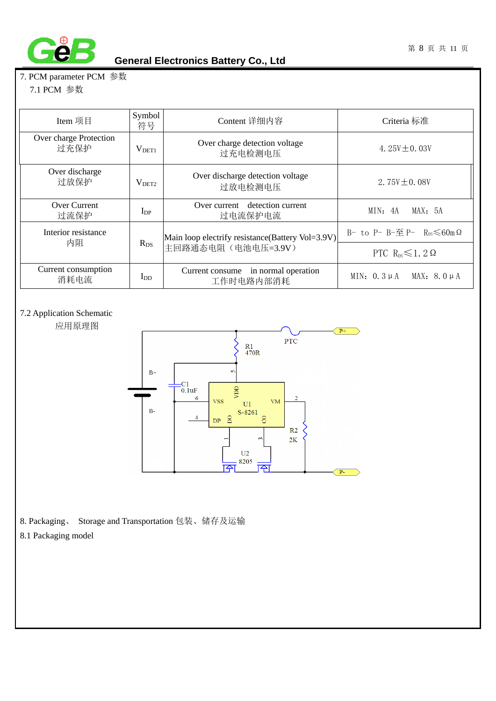

#### 7. PCM parameter PCM 参数

7.1 PCM 参数

| Item 项目                        | Symbol<br>符号      | Content 详细内容                                        | Criteria 标准                                                        |
|--------------------------------|-------------------|-----------------------------------------------------|--------------------------------------------------------------------|
| Over charge Protection<br>过充保护 | V <sub>DET1</sub> | Over charge detection voltage<br>过充电检测电压            | 4.25 $V \pm 0.03V$                                                 |
| Over discharge<br>过放保护         | V <sub>DET2</sub> | Over discharge detection voltage<br>过放电检测电压         | 2.75 $V \pm 0.08V$                                                 |
| Over Current<br>过流保护           | $I_{DP}$          | Over current detection current<br>过电流保护电流           | MAX: 5A<br>MIN: 4A                                                 |
| Interior resistance<br>内阻      |                   | Main loop electrify resistance (Battery Vol=3.9V)   | B- to P- B- $\mathfrak{D}$ P- R <sub>ps</sub> $\leq 60$ m $\Omega$ |
|                                | $R_{DS}$          | 主回路通态电阻(电池电压=3.9V)                                  | PTC $R_{DS} \leq 1.2 \Omega$                                       |
| Current consumption<br>消耗电流    | $I_{DD}$          | in normal operation<br>Current consume<br>工作时电路内部消耗 | MIN: $0.3 \mu A$ MAX: $8.0 \mu A$                                  |

## 7.2 Application Schematic

应用原理图



8. Packaging、 Storage and Transportation 包装、储存及运输

8.1 Packaging model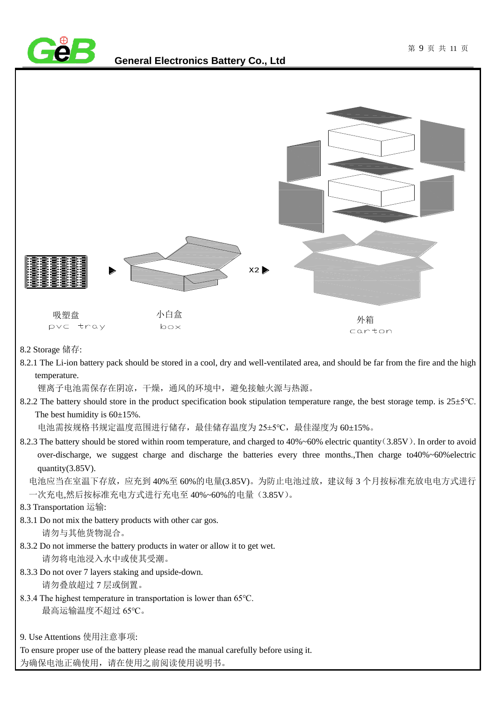



temperature.

锂离子电池需保存在阴凉,干燥,通风的环境中,避免接触火源与热源。

8.2.2 The battery should store in the product specification book stipulation temperature range, the best storage temp. is 25±5℃. The best humidity is  $60\pm15\%$ .

电池需按规格书规定温度范围进行储存,最佳储存温度为 25±5℃,最佳湿度为 60±15%。

8.2.3 The battery should be stored within room temperature, and charged to 40%~60% electric quantity(3.85V). In order to avoid over-discharge, we suggest charge and discharge the batteries every three months.,Then charge to40%~60%electric quantity(3.85V).

电池应当在室温下存放, 应充到 40%至 60%的电量(3.85V)。为防止电池过放, 建议每 3 个月按标准充放电电方式进行 一次充电,然后按标准充电方式进行充电至 40%~60%的电量(3.85V)。

```
8.3 Transportation 运输:
```
8.3.1 Do not mix the battery products with other car gos. 请勿与其他货物混合。

- 8.3.2 Do not immerse the battery products in water or allow it to get wet. 请勿将电池浸入水中或使其受潮。
- 8.3.3 Do not over 7 layers staking and upside-down. 请勿叠放超过 7 层或倒置。
- 8.3.4 The highest temperature in transportation is lower than 65℃. 最高运输温度不超过 65℃。

9. Use Attentions 使用注意事项:

To ensure proper use of the battery please read the manual carefully before using it. 为确保电池正确使用,请在使用之前阅读使用说明书。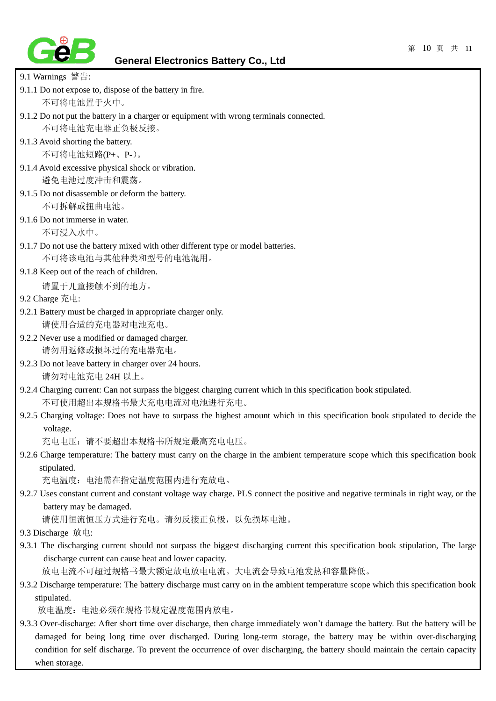

- 9.1 Warnings 警告:
- 9.1.1 Do not expose to, dispose of the battery in fire. 不可将电池置于火中。
- 9.1.2 Do not put the battery in a charger or equipment with wrong terminals connected. 不可将电池充电器正负极反接。
- 9.1.3 Avoid shorting the battery.

不可将电池短路(P+、P-)。

- 9.1.4 Avoid excessive physical shock or vibration. 避免电池过度冲击和震荡。
- 9.1.5 Do not disassemble or deform the battery. 不可拆解或扭曲电池。
- 9.1.6 Do not immerse in water.

不可浸入水中。

- 9.1.7 Do not use the battery mixed with other different type or model batteries. 不可将该电池与其他种类和型号的电池混用。
- 9.1.8 Keep out of the reach of children.

请置于儿童接触不到的地方。

- 9.2 Charge 充电:
- 9.2.1 Battery must be charged in appropriate charger only. 请使用合适的充电器对电池充电。
- 9.2.2 Never use a modified or damaged charger. 请勿用返修或损坏过的充电器充电。
- 9.2.3 Do not leave battery in charger over 24 hours. 请勿对电池充电 24H 以上。
- 9.2.4 Charging current: Can not surpass the biggest charging current which in this specification book stipulated. 不可使用超出本规格书最大充电电流对电池进行充电。
- 9.2.5 Charging voltage: Does not have to surpass the highest amount which in this specification book stipulated to decide the voltage.

充电电压:请不要超出本规格书所规定最高充电电压。

9.2.6 Charge temperature: The battery must carry on the charge in the ambient temperature scope which this specification book stipulated.

充电温度:电池需在指定温度范围内进行充放电。

9.2.7 Uses constant current and constant voltage way charge. PLS connect the positive and negative terminals in right way, or the battery may be damaged.

请使用恒流恒压方式进行充电。请勿反接正负极,以免损坏电池。

- 9.3 Discharge 放电:
- 9.3.1 The discharging current should not surpass the biggest discharging current this specification book stipulation, The large discharge current can cause heat and lower capacity.

放电电流不可超过规格书最大额定放电放电电流。大电流会导致电池发热和容量降低。

9.3.2 Discharge temperature: The battery discharge must carry on in the ambient temperature scope which this specification book stipulated.

放电温度: 电池必须在规格书规定温度范围内放电。

9.3.3 Over-discharge: After short time over discharge, then charge immediately won't damage the battery. But the battery will be damaged for being long time over discharged. During long-term storage, the battery may be within over-discharging condition for self discharge. To prevent the occurrence of over discharging, the battery should maintain the certain capacity when storage.